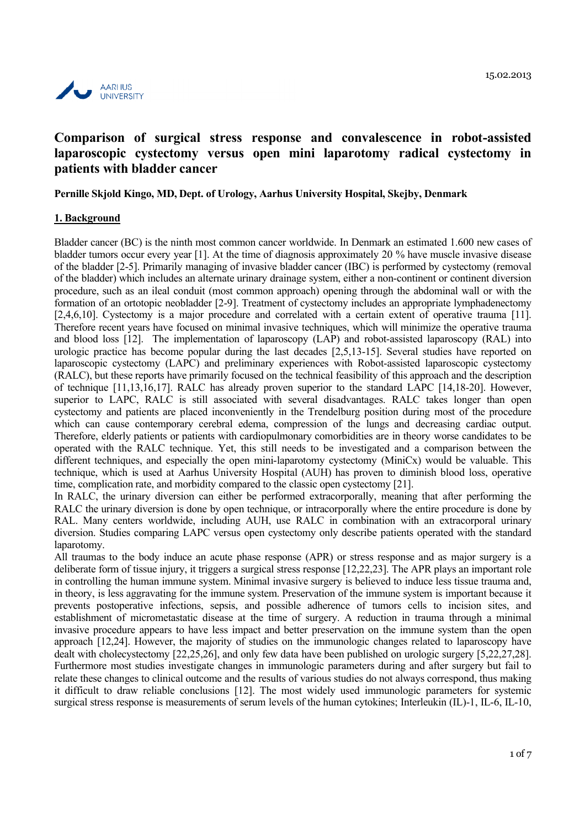

# **Comparison of surgical stress response and convalescence in robot-assisted laparoscopic cystectomy versus open mini laparotomy radical cystectomy in patients with bladder cancer**

**Pernille Skjold Kingo, MD, Dept. of Urology, Aarhus University Hospital, Skejby, Denmark**

#### **1. Background**

Bladder cancer (BC) is the ninth most common cancer worldwide. In Denmark an estimated 1.600 new cases of bladder tumors occur every year [1]. At the time of diagnosis approximately 20 % have muscle invasive disease of the bladder [2-5]. Primarily managing of invasive bladder cancer (IBC) is performed by cystectomy (removal of the bladder) which includes an alternate urinary drainage system, either a non-continent or continent diversion procedure, such as an ileal conduit (most common approach) opening through the abdominal wall or with the formation of an ortotopic neobladder [2-9]. Treatment of cystectomy includes an appropriate lymphadenectomy [2,4,6,10]. Cystectomy is a major procedure and correlated with a certain extent of operative trauma [11]. Therefore recent years have focused on minimal invasive techniques, which will minimize the operative trauma and blood loss [12]. The implementation of laparoscopy (LAP) and robot-assisted laparoscopy (RAL) into urologic practice has become popular during the last decades [2,5,13-15]. Several studies have reported on laparoscopic cystectomy (LAPC) and preliminary experiences with Robot-assisted laparoscopic cystectomy (RALC), but these reports have primarily focused on the technical feasibility of this approach and the description of technique [11,13,16,17]. RALC has already proven superior to the standard LAPC [14,18-20]. However, superior to LAPC, RALC is still associated with several disadvantages. RALC takes longer than open cystectomy and patients are placed inconveniently in the Trendelburg position during most of the procedure which can cause contemporary cerebral edema, compression of the lungs and decreasing cardiac output. Therefore, elderly patients or patients with cardiopulmonary comorbidities are in theory worse candidates to be operated with the RALC technique. Yet, this still needs to be investigated and a comparison between the different techniques, and especially the open mini-laparotomy cystectomy (MiniCx) would be valuable. This technique, which is used at Aarhus University Hospital (AUH) has proven to diminish blood loss, operative time, complication rate, and morbidity compared to the classic open cystectomy [21].

In RALC, the urinary diversion can either be performed extracorporally, meaning that after performing the RALC the urinary diversion is done by open technique, or intracorporally where the entire procedure is done by RAL. Many centers worldwide, including AUH, use RALC in combination with an extracorporal urinary diversion. Studies comparing LAPC versus open cystectomy only describe patients operated with the standard laparotomy.

All traumas to the body induce an acute phase response (APR) or stress response and as major surgery is a deliberate form of tissue injury, it triggers a surgical stress response [12,22,23]. The APR plays an important role in controlling the human immune system. Minimal invasive surgery is believed to induce less tissue trauma and, in theory, is less aggravating for the immune system. Preservation of the immune system is important because it prevents postoperative infections, sepsis, and possible adherence of tumors cells to incision sites, and establishment of micrometastatic disease at the time of surgery. A reduction in trauma through a minimal invasive procedure appears to have less impact and better preservation on the immune system than the open approach [12,24]. However, the majority of studies on the immunologic changes related to laparoscopy have dealt with cholecystectomy [22,25,26], and only few data have been published on urologic surgery [5,22,27,28]. Furthermore most studies investigate changes in immunologic parameters during and after surgery but fail to relate these changes to clinical outcome and the results of various studies do not always correspond, thus making it difficult to draw reliable conclusions [12]. The most widely used immunologic parameters for systemic surgical stress response is measurements of serum levels of the human cytokines; Interleukin (IL)-1, IL-6, IL-10,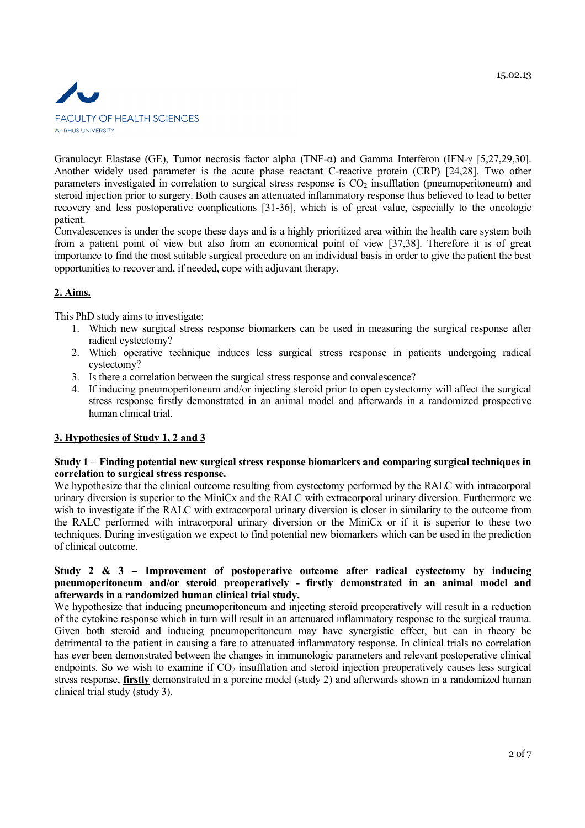

Granulocyt Elastase (GE), Tumor necrosis factor alpha (TNF-α) and Gamma Interferon (IFN-γ [5,27,29,30]. Another widely used parameter is the acute phase reactant C-reactive protein (CRP) [24,28]. Two other parameters investigated in correlation to surgical stress response is  $CO<sub>2</sub>$  insufflation (pneumoperitoneum) and steroid injection prior to surgery. Both causes an attenuated inflammatory response thus believed to lead to better recovery and less postoperative complications [31-36], which is of great value, especially to the oncologic patient.

Convalescences is under the scope these days and is a highly prioritized area within the health care system both from a patient point of view but also from an economical point of view [37,38]. Therefore it is of great importance to find the most suitable surgical procedure on an individual basis in order to give the patient the best opportunities to recover and, if needed, cope with adjuvant therapy.

## **2. Aims.**

This PhD study aims to investigate:

- 1. Which new surgical stress response biomarkers can be used in measuring the surgical response after radical cystectomy?
- 2. Which operative technique induces less surgical stress response in patients undergoing radical cystectomy?
- 3. Is there a correlation between the surgical stress response and convalescence?
- 4. If inducing pneumoperitoneum and/or injecting steroid prior to open cystectomy will affect the surgical stress response firstly demonstrated in an animal model and afterwards in a randomized prospective human clinical trial.

## **3. Hypothesies of Study 1, 2 and 3**

## **Study 1 – Finding potential new surgical stress response biomarkers and comparing surgical techniques in correlation to surgical stress response.**

We hypothesize that the clinical outcome resulting from cystectomy performed by the RALC with intracorporal urinary diversion is superior to the MiniCx and the RALC with extracorporal urinary diversion. Furthermore we wish to investigate if the RALC with extracorporal urinary diversion is closer in similarity to the outcome from the RALC performed with intracorporal urinary diversion or the MiniCx or if it is superior to these two techniques. During investigation we expect to find potential new biomarkers which can be used in the prediction of clinical outcome.

## **Study 2 & 3 – Improvement of postoperative outcome after radical cystectomy by inducing pneumoperitoneum and/or steroid preoperatively - firstly demonstrated in an animal model and afterwards in a randomized human clinical trial study.**

We hypothesize that inducing pneumoperitoneum and injecting steroid preoperatively will result in a reduction of the cytokine response which in turn will result in an attenuated inflammatory response to the surgical trauma. Given both steroid and inducing pneumoperitoneum may have synergistic effect, but can in theory be detrimental to the patient in causing a fare to attenuated inflammatory response. In clinical trials no correlation has ever been demonstrated between the changes in immunologic parameters and relevant postoperative clinical endpoints. So we wish to examine if  $CO<sub>2</sub>$  insufflation and steroid injection preoperatively causes less surgical stress response, **firstly** demonstrated in a porcine model (study 2) and afterwards shown in a randomized human clinical trial study (study 3).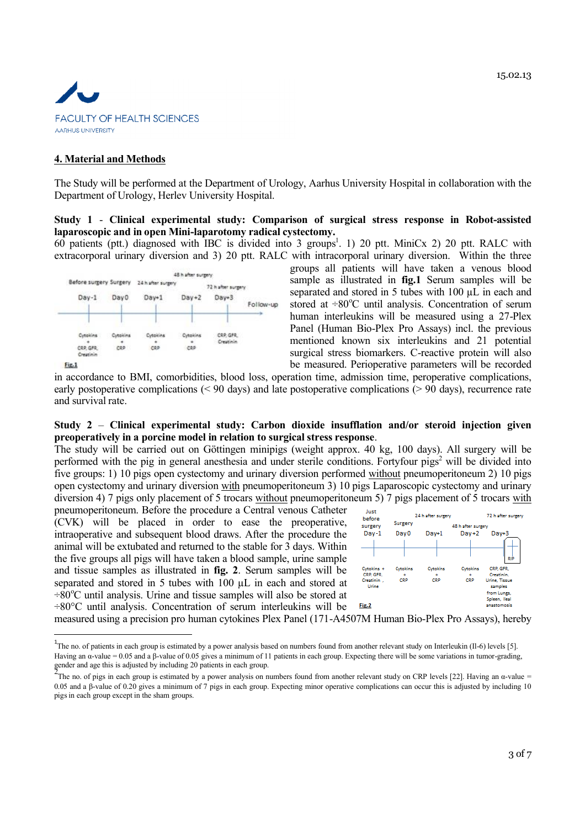

#### **4. Material and Methods**

The Study will be performed at the Department of Urology, Aarhus University Hospital in collaboration with the Department of Urology, Herlev University Hospital.

#### **Study 1** - **Clinical experimental study: Comparison of surgical stress response in Robot-assisted laparoscopic and in open Mini-laparotomy radical cystectomy.**

60 patients (ptt.) diagnosed with IBC is divided into 3 groups<sup>1</sup>. 1) 20 ptt. MiniCx 2) 20 ptt. RALC with extracorporal urinary diversion and 3) 20 ptt. RALC with intracorporal urinary diversion. Within the three



groups all patients will have taken a venous blood sample as illustrated in **fig.1** Serum samples will be separated and stored in 5 tubes with 100 µL in each and stored at  $\div 80^{\circ}$ C until analysis. Concentration of serum human interleukins will be measured using a 27-Plex Panel (Human Bio-Plex Pro Assays) incl. the previous mentioned known six interleukins and 21 potential surgical stress biomarkers. C-reactive protein will also be measured. Perioperative parameters will be recorded

in accordance to BMI, comorbidities, blood loss, operation time, admission time, peroperative complications, early postoperative complications (< 90 days) and late postoperative complications (> 90 days), recurrence rate and survival rate.

#### **Study 2** – **Clinical experimental study: Carbon dioxide insufflation and/or steroid injection given preoperatively in a porcine model in relation to surgical stress response**.

The study will be carried out on Göttingen minipigs (weight approx. 40 kg, 100 days). All surgery will be performed with the pig in general anesthesia and under sterile conditions. Fortyfour pigs<sup>2</sup> will be divided into five groups: 1) 10 pigs open cystectomy and urinary diversion performed without pneumoperitoneum 2) 10 pigs open cystectomy and urinary diversion with pneumoperitoneum 3) 10 pigs Laparoscopic cystectomy and urinary diversion 4) 7 pigs only placement of 5 trocars without pneumoperitoneum 5) 7 pigs placement of 5 trocars with

pneumoperitoneum. Before the procedure a Central venous Catheter (CVK) will be placed in order to ease the preoperative, intraoperative and subsequent blood draws. After the procedure the animal will be extubated and returned to the stable for 3 days. Within the five groups all pigs will have taken a blood sample, urine sample and tissue samples as illustrated in **fig. 2**. Serum samples will be separated and stored in 5 tubes with 100  $\mu$ L in each and stored at  $\div 80^{\circ}$ C until analysis. Urine and tissue samples will also be stored at ÷80°C until analysis. Concentration of serum interleukins will be



measured using a precision pro human cytokines Plex Panel (171-A4507M Human Bio-Plex Pro Assays), hereby

Fig.1

<sup>&</sup>lt;sup>1</sup>The no. of patients in each group is estimated by a power analysis based on numbers found from another relevant study on Interleukin (II-6) levels [5]. Having an α-value = 0.05 and a β-value of 0.05 gives a minimum of 11 patients in each group. Expecting there will be some variations in tumor-grading, gender and age this is adjusted by including 20 patients in each group.

The no. of pigs in each group is estimated by a power analysis on numbers found from another relevant study on CRP levels [22]. Having an  $\alpha$ -value = 0.05 and a β-value of 0.20 gives a minimum of 7 pigs in each group. Expecting minor operative complications can occur this is adjusted by including 10 pigsin each group except in the sham groups.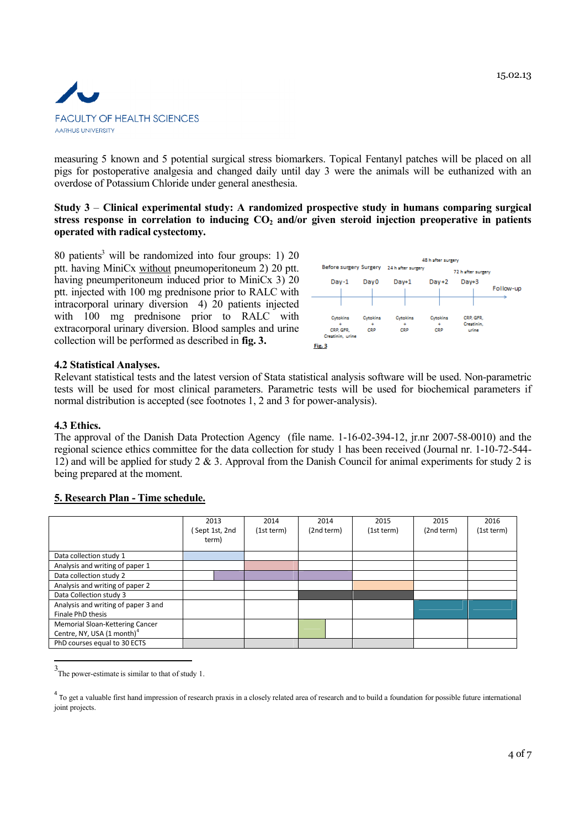15.02.13



measuring 5 known and 5 potential surgical stress biomarkers. Topical Fentanyl patches will be placed on all pigs for postoperative analgesia and changed daily until day 3 were the animals will be euthanized with an overdose of Potassium Chloride under general anesthesia.

**Study 3** – **Clinical experimental study: A randomized prospective study in humans comparing surgical stress response in correlation to inducing CO<sup>2</sup> and/or given steroid injection preoperative in patients operated with radical cystectomy.**

80 patients<sup>3</sup> will be randomized into four groups: 1) 20 ptt. having MiniCx without pneumoperitoneum 2) 20 ptt. having pneumperitoneum induced prior to MiniCx 3) 20 ptt. injected with 100 mg prednisone prior to RALC with intracorporal urinary diversion 4) 20 patients injected with 100 mg prednisone prior to RALC with extracorporal urinary diversion. Blood samples and urine collection will be performed as described in **fig. 3.**



## **4.2 Statistical Analyses.**

Relevant statistical tests and the latest version of Stata statistical analysis software will be used. Non-parametric tests will be used for most clinical parameters. Parametric tests will be used for biochemical parameters if normal distribution is accepted (see footnotes 1, 2 and 3 for power-analysis).

#### **4.3 Ethics.**

The approval of the Danish Data Protection Agency (file name. 1-16-02-394-12, jr.nr 2007-58-0010) and the regional science ethics committee for the data collection for study 1 has been received (Journal nr. 1-10-72-544- 12) and will be applied for study 2 & 3. Approval from the Danish Council for animal experiments for study 2 is being prepared at the moment.

## **5. Research Plan - Time schedule.**

|                                                                           | 2013<br>Sept 1st, 2nd<br>term) | 2014<br>(1st term) | 2014<br>(2nd term) | 2015<br>(1st term) | 2015<br>(2nd term) | 2016<br>(1st term) |
|---------------------------------------------------------------------------|--------------------------------|--------------------|--------------------|--------------------|--------------------|--------------------|
| Data collection study 1                                                   |                                |                    |                    |                    |                    |                    |
| Analysis and writing of paper 1                                           |                                |                    |                    |                    |                    |                    |
| Data collection study 2                                                   |                                |                    |                    |                    |                    |                    |
| Analysis and writing of paper 2                                           |                                |                    |                    |                    |                    |                    |
| Data Collection study 3                                                   |                                |                    |                    |                    |                    |                    |
| Analysis and writing of paper 3 and<br>Finale PhD thesis                  |                                |                    |                    |                    |                    |                    |
| Memorial Sloan-Kettering Cancer<br>Centre, NY, USA (1 month) <sup>4</sup> |                                |                    |                    |                    |                    |                    |
| PhD courses equal to 30 ECTS                                              |                                |                    |                    |                    |                    |                    |

<sup>&</sup>lt;sup>3</sup>The power-estimate is similar to that of study 1.

<sup>&</sup>lt;sup>4</sup> To get a valuable first hand impression of research praxis in a closely related area of research and to build a foundation for possible future international joint projects.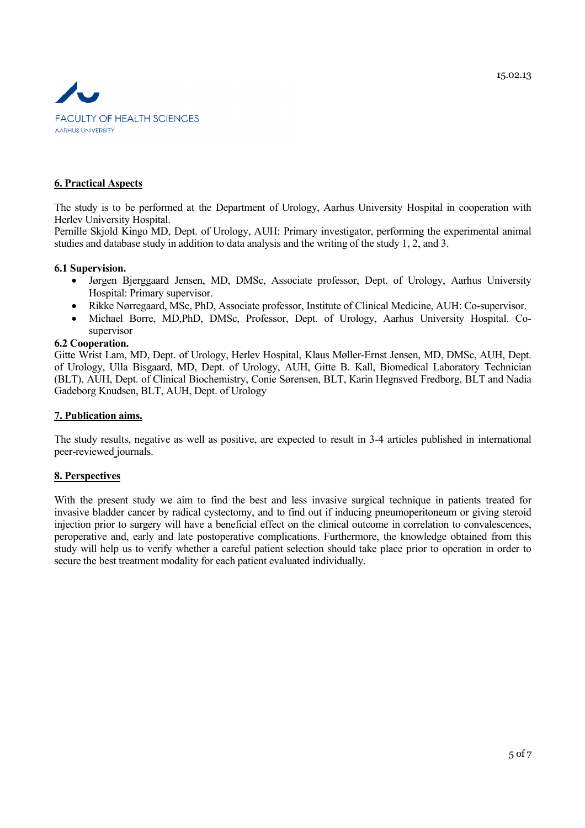

## **6. Practical Aspects**

The study is to be performed at the Department of Urology, Aarhus University Hospital in cooperation with Herlev University Hospital.

Pernille Skjold Kingo MD, Dept. of Urology, AUH: Primary investigator, performing the experimental animal studies and database study in addition to data analysis and the writing of the study 1, 2, and 3.

#### **6.1 Supervision.**

- Jørgen Bjerggaard Jensen, MD, DMSc, Associate professor, Dept. of Urology, Aarhus University Hospital: Primary supervisor.
- Rikke Nørregaard, MSc, PhD, Associate professor, Institute of Clinical Medicine, AUH: Co-supervisor.
- Michael Borre, MD,PhD, DMSc, Professor, Dept. of Urology, Aarhus University Hospital. Cosupervisor

#### **6.2 Cooperation.**

Gitte Wrist Lam, MD, Dept. of Urology, Herlev Hospital, Klaus Møller-Ernst Jensen, MD, DMSc, AUH, Dept. of Urology, Ulla Bisgaard, MD, Dept. of Urology, AUH, Gitte B. Kall, Biomedical Laboratory Technician (BLT), AUH, Dept. of Clinical Biochemistry, Conie Sørensen, BLT, Karin Hegnsved Fredborg, BLT and Nadia Gadeborg Knudsen, BLT, AUH, Dept. of Urology

#### **7. Publication aims.**

The study results, negative as well as positive, are expected to result in 3-4 articles published in international peer-reviewed journals.

## **8. Perspectives**

With the present study we aim to find the best and less invasive surgical technique in patients treated for invasive bladder cancer by radical cystectomy, and to find out if inducing pneumoperitoneum or giving steroid injection prior to surgery will have a beneficial effect on the clinical outcome in correlation to convalescences. peroperative and, early and late postoperative complications. Furthermore, the knowledge obtained from this study will help us to verify whether a careful patient selection should take place prior to operation in order to secure the best treatment modality for each patient evaluated individually.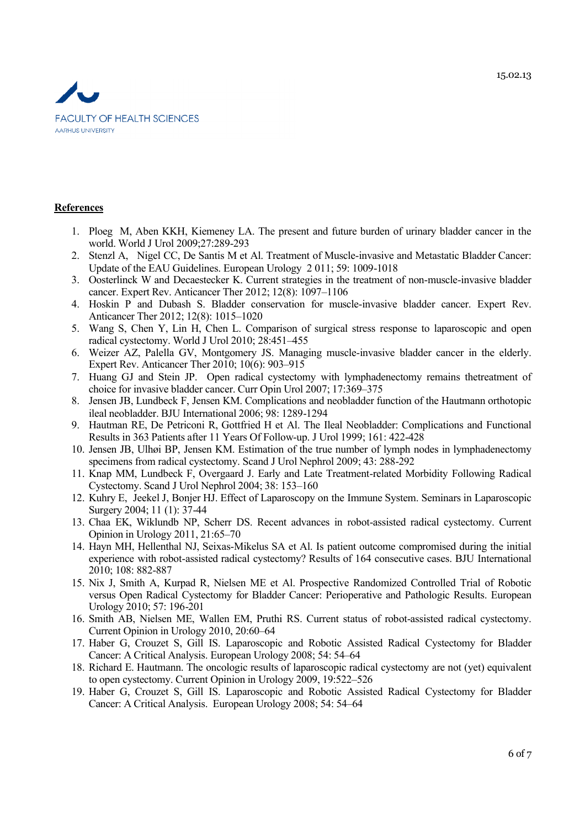

## **References**

- 1. Ploeg M, Aben KKH, Kiemeney LA. The present and future burden of urinary bladder cancer in the world. World J Urol 2009;27:289-293
- 2. Stenzl A, Nigel CC, De Santis M et Al. Treatment of Muscle-invasive and Metastatic Bladder Cancer: Update of the EAU Guidelines. European Urology 2 011; 59: 1009-1018
- 3. Oosterlinck W and Decaestecker K. Current strategies in the treatment of non-muscle-invasive bladder cancer. Expert Rev. Anticancer Ther 2012; 12(8): 1097–1106
- 4. Hoskin P and Dubash S. Bladder conservation for muscle-invasive bladder cancer. Expert Rev. Anticancer Ther 2012; 12(8): 1015–1020
- 5. Wang S, Chen Y, Lin H, Chen L. Comparison of surgical stress response to laparoscopic and open radical cystectomy. World J Urol 2010; 28:451–455
- 6. Weizer AZ, Palella GV, Montgomery JS. Managing muscle-invasive bladder cancer in the elderly. Expert Rev. Anticancer Ther 2010; 10(6): 903–915
- 7. Huang GJ and Stein JP. Open radical cystectomy with lymphadenectomy remains thetreatment of choice for invasive bladder cancer. Curr Opin Urol 2007; 17:369–375
- 8. Jensen JB, Lundbeck F, Jensen KM. Complications and neobladder function of the Hautmann orthotopic ileal neobladder. BJU International 2006; 98: 1289-1294
- 9. Hautman RE, De Petriconi R, Gottfried H et Al. The Ileal Neobladder: Complications and Functional Results in 363 Patients after 11 Years Of Follow-up. J Urol 1999; 161: 422-428
- 10. Jensen JB, Ulhøi BP, Jensen KM. Estimation of the true number of lymph nodes in lymphadenectomy specimens from radical cystectomy. Scand J Urol Nephrol 2009; 43: 288-292
- 11. Knap MM, Lundbeck F, Overgaard J. Early and Late Treatment-related Morbidity Following Radical Cystectomy. Scand J Urol Nephrol 2004; 38: 153–160
- 12. Kuhry E, Jeekel J, Bonjer HJ. Effect of Laparoscopy on the Immune System. Seminars in Laparoscopic Surgery 2004; 11 (1): 37-44
- 13. Chaa EK, Wiklundb NP, Scherr DS. Recent advances in robot-assisted radical cystectomy. Current Opinion in Urology 2011, 21:65–70
- 14. Hayn MH, Hellenthal NJ, Seixas-Mikelus SA et Al. Is patient outcome compromised during the initial experience with robot-assisted radical cystectomy? Results of 164 consecutive cases. BJU International 2010; 108: 882-887
- 15. Nix J, Smith A, Kurpad R, Nielsen ME et Al. Prospective Randomized Controlled Trial of Robotic versus Open Radical Cystectomy for Bladder Cancer: Perioperative and Pathologic Results. European Urology 2010; 57: 196-201
- 16. Smith AB, Nielsen ME, Wallen EM, Pruthi RS. Current status of robot-assisted radical cystectomy. Current Opinion in Urology 2010, 20:60–64
- 17. Haber G, Crouzet S, Gill IS. Laparoscopic and Robotic Assisted Radical Cystectomy for Bladder Cancer: A Critical Analysis. European Urology 2008; 54: 54–64
- 18. Richard E. Hautmann. The oncologic results of laparoscopic radical cystectomy are not (yet) equivalent to open cystectomy. Current Opinion in Urology 2009, 19:522–526
- 19. Haber G, Crouzet S, Gill IS. Laparoscopic and Robotic Assisted Radical Cystectomy for Bladder Cancer: A Critical Analysis. European Urology 2008; 54: 54–64